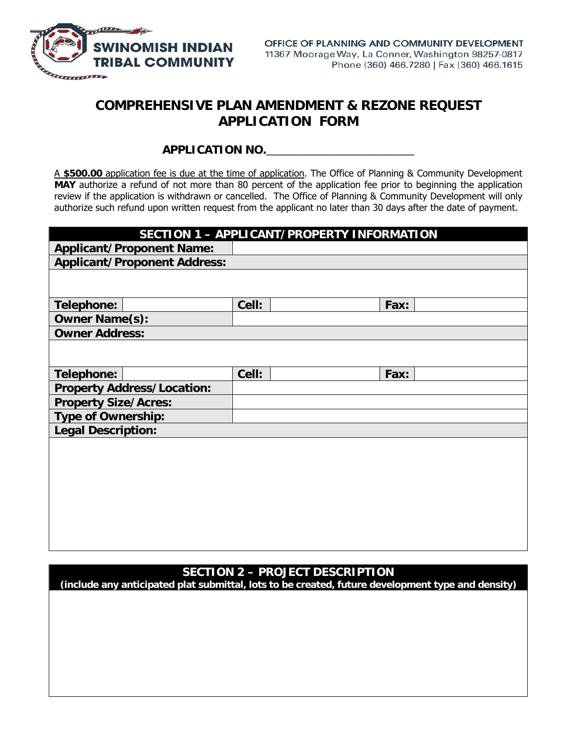

## **COMPREHENSIVE PLAN AMENDMENT & REZONE REQUEST APPLICATION FORM**

## **APPLICATION NO.**\_\_\_\_\_\_\_\_\_\_\_\_\_\_\_\_\_\_\_\_\_\_\_\_

A **\$500.00** application fee is due at the time of application. The Office of Planning & Community Development **MAY** authorize a refund of not more than 80 percent of the application fee prior to beginning the application review if the application is withdrawn or cancelled. The Office of Planning & Community Development will only authorize such refund upon written request from the applicant no later than 30 days after the date of payment.

| SECTION 1 - APPLICANT/PROPERTY INFORMATION |       |  |      |  |  |  |  |
|--------------------------------------------|-------|--|------|--|--|--|--|
| <b>Applicant/Proponent Name:</b>           |       |  |      |  |  |  |  |
| <b>Applicant/Proponent Address:</b>        |       |  |      |  |  |  |  |
|                                            |       |  |      |  |  |  |  |
| Telephone:                                 | Cell: |  | Fax: |  |  |  |  |
| <b>Owner Name(s):</b>                      |       |  |      |  |  |  |  |
| <b>Owner Address:</b>                      |       |  |      |  |  |  |  |
|                                            |       |  |      |  |  |  |  |
| Telephone:                                 | Cell: |  | Fax: |  |  |  |  |
| <b>Property Address/Location:</b>          |       |  |      |  |  |  |  |
| <b>Property Size/Acres:</b>                |       |  |      |  |  |  |  |
| <b>Type of Ownership:</b>                  |       |  |      |  |  |  |  |
| <b>Legal Description:</b>                  |       |  |      |  |  |  |  |
|                                            |       |  |      |  |  |  |  |

## **SECTION 2 – PROJECT DESCRIPTION**

**(include any anticipated plat submittal, lots to be created, future development type and density)**